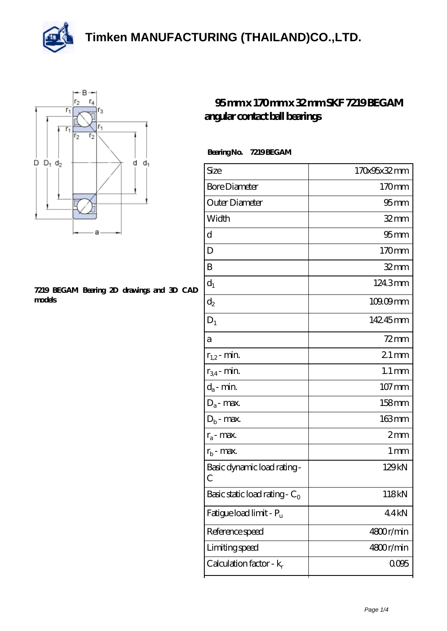



## **[7219 BEGAM Bearing 2D drawings and 3D CAD](https://m.thereclaimer.net/pic-65136385.html) [models](https://m.thereclaimer.net/pic-65136385.html)**

## **[95 mm x 170 mm x 32 mm SKF 7219 BEGAM](https://m.thereclaimer.net/skf-7219-begam-bearing/) [angular contact ball bearings](https://m.thereclaimer.net/skf-7219-begam-bearing/)**

| BearingNo. | 7219BEGAM |
|------------|-----------|
|            |           |

| Size                                      | 170x95x32mm         |
|-------------------------------------------|---------------------|
| <b>Bore Diameter</b>                      | 170mm               |
| Outer Diameter                            | $95 \text{mm}$      |
| Width                                     | $32$ mm             |
| d                                         | $95 \text{mm}$      |
| D                                         | 170mm               |
| B                                         | $32 \text{mm}$      |
| $d_1$                                     | 124.3mm             |
| $\mathrm{d}_2$                            | 109.09mm            |
| $D_1$                                     | 14245mm             |
| а                                         | $72$ mm             |
| $r_{1,2}$ - min.                          | $21$ mm             |
| $r_{34}$ - min.                           | $1.1 \,\mathrm{mm}$ |
| $d_a$ - min.                              | $107 \,\mathrm{mm}$ |
| $D_a$ - max.                              | $158$ mm            |
| $D_b$ - max.                              | $163 \text{mm}$     |
| $r_a$ - max.                              | $2 \text{mm}$       |
| $r_{\rm b}$ - max.                        | 1 mm                |
| Basic dynamic load rating-<br>С           | 129kN               |
| Basic static load rating - $\mathrm{C}_0$ | 118kN               |
| Fatigue load limit - Pu                   | 44kN                |
| Reference speed                           | 4800r/min           |
| Limiting speed                            | 4800r/min           |
| Calculation factor - $k_r$                | 0095                |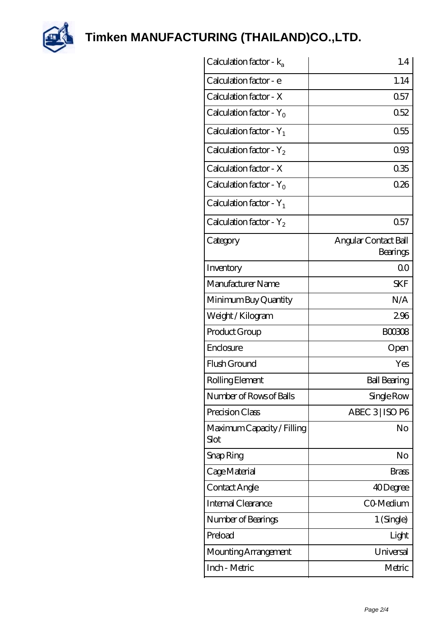

| Calculation factor - $k_a$         | 1.4                              |
|------------------------------------|----------------------------------|
| Calculation factor - e             | 1.14                             |
| Calculation factor - X             | 0.57                             |
| Calculation factor - $Y_0$         | 0.52                             |
| Calculation factor - $Y_1$         | 0.55                             |
| Calculation factor - $Y_2$         | 093                              |
| Calculation factor - X             | 035                              |
| Calculation factor - $Y_0$         | 026                              |
| Calculation factor - $Y_1$         |                                  |
| Calculation factor - $Y_2$         | 0.57                             |
| Category                           | Angular Contact Ball<br>Bearings |
| Inventory                          | 0 <sub>0</sub>                   |
| Manufacturer Name                  | <b>SKF</b>                       |
| Minimum Buy Quantity               | N/A                              |
| Weight / Kilogram                  | 296                              |
| Product Group                      | <b>BOO308</b>                    |
| Enclosure                          | Open                             |
| Flush Ground                       | Yes                              |
| Rolling Element                    | <b>Ball Bearing</b>              |
| Number of Rows of Balls            | Single Row                       |
| Precision Class                    | ABEC 3 ISO P6                    |
| Maximum Capacity / Filling<br>Slot | No                               |
| Snap Ring                          | No                               |
| Cage Material                      | Brass                            |
| Contact Angle                      | 40Degree                         |
| Internal Clearance                 | CO-Medium                        |
| Number of Bearings                 | 1 (Single)                       |
| Preload                            | Light                            |
| Mounting Arrangement               | Universal                        |
| Inch - Metric                      | Metric                           |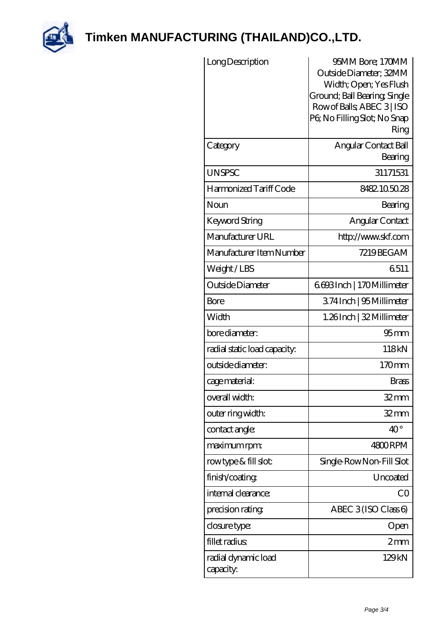

| Long Description                 | 95MM Bore; 170MM<br>Outside Diameter; 32MM<br>Width; Open; Yes Flush<br>Ground; Ball Bearing; Single<br>Row of Balls, ABEC 3   ISO<br>PG No Filling Slot; No Snap<br>Ring |
|----------------------------------|---------------------------------------------------------------------------------------------------------------------------------------------------------------------------|
| Category                         | Angular Contact Ball<br>Bearing                                                                                                                                           |
| <b>UNSPSC</b>                    | 31171531                                                                                                                                                                  |
| Harmonized Tariff Code           | 8482105028                                                                                                                                                                |
| Noun                             | Bearing                                                                                                                                                                   |
| Keyword String                   | Angular Contact                                                                                                                                                           |
| Manufacturer URL                 | http://www.skf.com                                                                                                                                                        |
| Manufacturer Item Number         | 7219BEGAM                                                                                                                                                                 |
| Weight/LBS                       | 6511                                                                                                                                                                      |
| Outside Diameter                 | 6.693Inch   170Millimeter                                                                                                                                                 |
| Bore                             | 374Inch   95Millimeter                                                                                                                                                    |
| Width                            | 1.26Inch   32 Millimeter                                                                                                                                                  |
| bore diameter:                   | $95 \text{mm}$                                                                                                                                                            |
| radial static load capacity:     | 118kN                                                                                                                                                                     |
| outside diameter:                | 170mm                                                                                                                                                                     |
| cage material:                   | <b>Brass</b>                                                                                                                                                              |
| overall width:                   | $32$ mm                                                                                                                                                                   |
| outer ring width:                | $32$ mm                                                                                                                                                                   |
| contact angle:                   | $40^{\circ}$                                                                                                                                                              |
| maximum rpm:                     | 4800RPM                                                                                                                                                                   |
| rowtype & fill slot:             | Single-RowNon-Fill Slot                                                                                                                                                   |
| finish/coating                   | Uncoated                                                                                                                                                                  |
| internal clearance:              | CO                                                                                                                                                                        |
| precision rating                 | ABEC $3$ (ISO Class 6)                                                                                                                                                    |
| closure type:                    | Open                                                                                                                                                                      |
| fillet radius                    | 2mm                                                                                                                                                                       |
| radial dynamic load<br>capacity: | 129kN                                                                                                                                                                     |